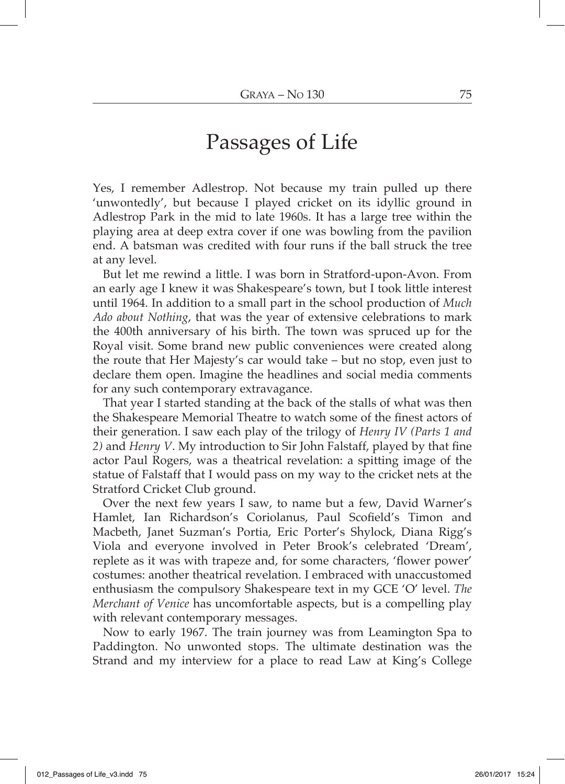## Passages of Life

Yes, I remember Adlestrop. Not because my train pulled up there 'unwontedly', but because I played cricket on its idyllic ground in Adlestrop Park in the mid to late 1960s. It has a large tree within the playing area at deep extra cover if one was bowling from the pavilion end. A batsman was credited with four runs if the ball struck the tree at any level.

But let me rewind a little. I was born in Stratford-upon-Avon. From an early age I knew it was Shakespeare's town, but I took little interest until 1964. In addition to a small part in the school production of *Much Ado about Nothing*, that was the year of extensive celebrations to mark the 400th anniversary of his birth. The town was spruced up for the Royal visit. Some brand new public conveniences were created along the route that Her Majesty's car would take – but no stop, even just to declare them open. Imagine the headlines and social media comments for any such contemporary extravagance.

That year I started standing at the back of the stalls of what was then the Shakespeare Memorial Theatre to watch some of the finest actors of their generation. I saw each play of the trilogy of *Henry IV (Parts 1 and 2)* and *Henry V*. My introduction to Sir John Falstaff, played by that fine actor Paul Rogers, was a theatrical revelation: a spitting image of the statue of Falstaff that I would pass on my way to the cricket nets at the Stratford Cricket Club ground.

Over the next few years I saw, to name but a few, David Warner's Hamlet, Ian Richardson's Coriolanus, Paul Scofield's Timon and Macbeth, Janet Suzman's Portia, Eric Porter's Shylock, Diana Rigg's Viola and everyone involved in Peter Brook's celebrated 'Dream', replete as it was with trapeze and, for some characters, 'flower power' costumes: another theatrical revelation. I embraced with unaccustomed enthusiasm the compulsory Shakespeare text in my GCE 'O' level. *The Merchant of Venice* has uncomfortable aspects, but is a compelling play with relevant contemporary messages.

Now to early 1967. The train journey was from Leamington Spa to Paddington. No unwonted stops. The ultimate destination was the Strand and my interview for a place to read Law at King's College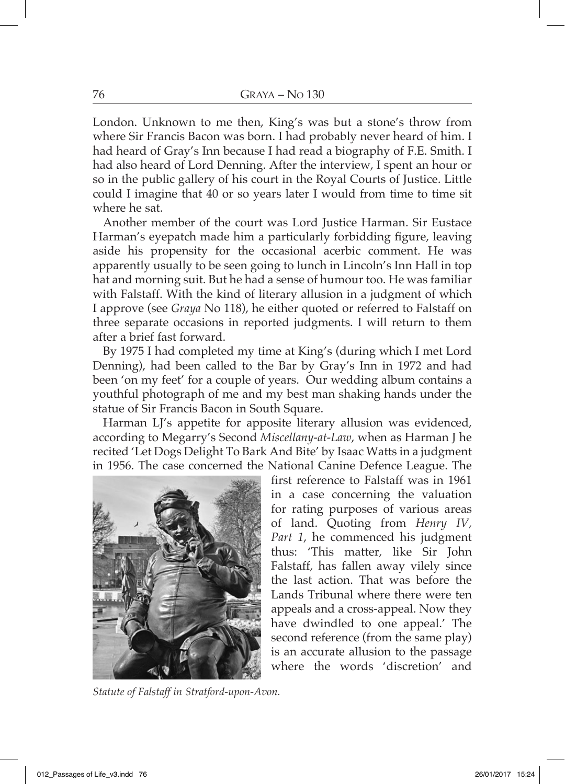London. Unknown to me then, King's was but a stone's throw from where Sir Francis Bacon was born. I had probably never heard of him. I had heard of Gray's Inn because I had read a biography of F.E. Smith. I had also heard of Lord Denning. After the interview, I spent an hour or so in the public gallery of his court in the Royal Courts of Justice. Little could I imagine that 40 or so years later I would from time to time sit where he sat.

Another member of the court was Lord Justice Harman. Sir Eustace Harman's eyepatch made him a particularly forbidding figure, leaving aside his propensity for the occasional acerbic comment. He was apparently usually to be seen going to lunch in Lincoln's Inn Hall in top hat and morning suit. But he had a sense of humour too. He was familiar with Falstaff. With the kind of literary allusion in a judgment of which I approve (see *Graya* No 118), he either quoted or referred to Falstaff on three separate occasions in reported judgments. I will return to them after a brief fast forward.

By 1975 I had completed my time at King's (during which I met Lord Denning), had been called to the Bar by Gray's Inn in 1972 and had been 'on my feet' for a couple of years. Our wedding album contains a youthful photograph of me and my best man shaking hands under the statue of Sir Francis Bacon in South Square.

Harman LJ's appetite for apposite literary allusion was evidenced, according to Megarry's Second *Miscellany-at-Law*, when as Harman J he recited 'Let Dogs Delight To Bark And Bite' by Isaac Watts in a judgment in 1956. The case concerned the National Canine Defence League. The



*Statute of Falstaff in Stratford-upon-Avon.*

first reference to Falstaff was in 1961 in a case concerning the valuation for rating purposes of various areas of land. Quoting from *Henry IV, Part 1*, he commenced his judgment thus: 'This matter, like Sir John Falstaff, has fallen away vilely since the last action. That was before the Lands Tribunal where there were ten appeals and a cross-appeal. Now they have dwindled to one appeal.' The second reference (from the same play) is an accurate allusion to the passage where the words 'discretion' and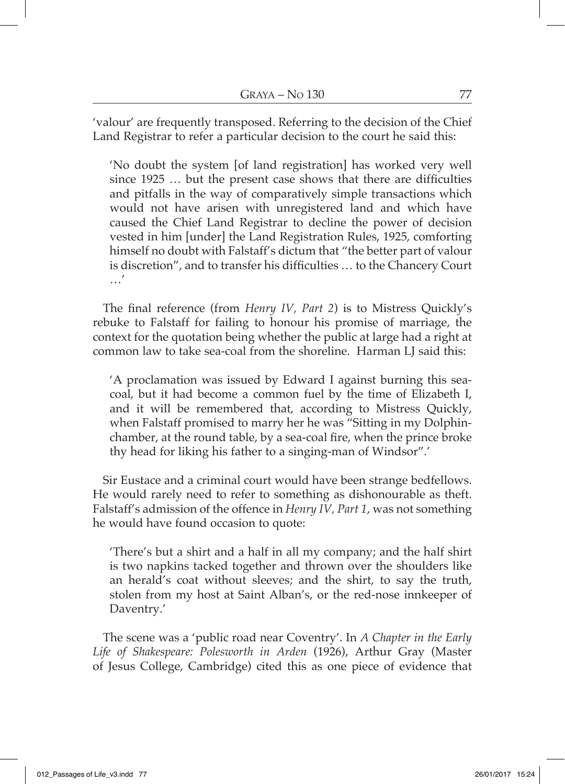'valour' are frequently transposed. Referring to the decision of the Chief Land Registrar to refer a particular decision to the court he said this:

'No doubt the system [of land registration] has worked very well since 1925 … but the present case shows that there are difficulties and pitfalls in the way of comparatively simple transactions which would not have arisen with unregistered land and which have caused the Chief Land Registrar to decline the power of decision vested in him [under] the Land Registration Rules, 1925, comforting himself no doubt with Falstaff's dictum that "the better part of valour is discretion", and to transfer his difficulties … to the Chancery Court …'

The final reference (from *Henry IV, Part 2*) is to Mistress Quickly's rebuke to Falstaff for failing to honour his promise of marriage, the context for the quotation being whether the public at large had a right at common law to take sea-coal from the shoreline. Harman LJ said this:

'A proclamation was issued by Edward I against burning this seacoal, but it had become a common fuel by the time of Elizabeth I, and it will be remembered that, according to Mistress Quickly, when Falstaff promised to marry her he was "Sitting in my Dolphinchamber, at the round table, by a sea-coal fire, when the prince broke thy head for liking his father to a singing-man of Windsor".'

Sir Eustace and a criminal court would have been strange bedfellows. He would rarely need to refer to something as dishonourable as theft. Falstaff's admission of the offence in *Henry IV, Part 1*, was not something he would have found occasion to quote:

'There's but a shirt and a half in all my company; and the half shirt is two napkins tacked together and thrown over the shoulders like an herald's coat without sleeves; and the shirt, to say the truth, stolen from my host at Saint Alban's, or the red-nose innkeeper of Daventry.'

The scene was a 'public road near Coventry'. In *A Chapter in the Early Life of Shakespeare: Polesworth in Arden* (1926), Arthur Gray (Master of Jesus College, Cambridge) cited this as one piece of evidence that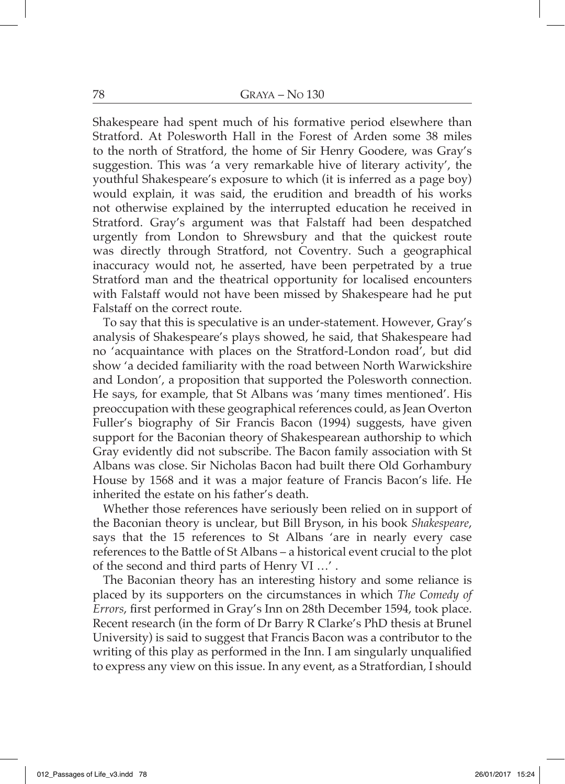Shakespeare had spent much of his formative period elsewhere than Stratford. At Polesworth Hall in the Forest of Arden some 38 miles to the north of Stratford, the home of Sir Henry Goodere, was Gray's suggestion. This was 'a very remarkable hive of literary activity', the youthful Shakespeare's exposure to which (it is inferred as a page boy) would explain, it was said, the erudition and breadth of his works not otherwise explained by the interrupted education he received in Stratford. Gray's argument was that Falstaff had been despatched urgently from London to Shrewsbury and that the quickest route was directly through Stratford, not Coventry. Such a geographical inaccuracy would not, he asserted, have been perpetrated by a true Stratford man and the theatrical opportunity for localised encounters with Falstaff would not have been missed by Shakespeare had he put Falstaff on the correct route.

To say that this is speculative is an under-statement. However, Gray's analysis of Shakespeare's plays showed, he said, that Shakespeare had no 'acquaintance with places on the Stratford-London road', but did show 'a decided familiarity with the road between North Warwickshire and London', a proposition that supported the Polesworth connection. He says, for example, that St Albans was 'many times mentioned'. His preoccupation with these geographical references could, as Jean Overton Fuller's biography of Sir Francis Bacon (1994) suggests, have given support for the Baconian theory of Shakespearean authorship to which Gray evidently did not subscribe. The Bacon family association with St Albans was close. Sir Nicholas Bacon had built there Old Gorhambury House by 1568 and it was a major feature of Francis Bacon's life. He inherited the estate on his father's death.

Whether those references have seriously been relied on in support of the Baconian theory is unclear, but Bill Bryson, in his book *Shakespeare*, says that the 15 references to St Albans 'are in nearly every case references to the Battle of St Albans – a historical event crucial to the plot of the second and third parts of Henry VI …' .

The Baconian theory has an interesting history and some reliance is placed by its supporters on the circumstances in which *The Comedy of Errors*, first performed in Gray's Inn on 28th December 1594, took place. Recent research (in the form of Dr Barry R Clarke's PhD thesis at Brunel University) is said to suggest that Francis Bacon was a contributor to the writing of this play as performed in the Inn. I am singularly unqualified to express any view on this issue. In any event, as a Stratfordian, I should